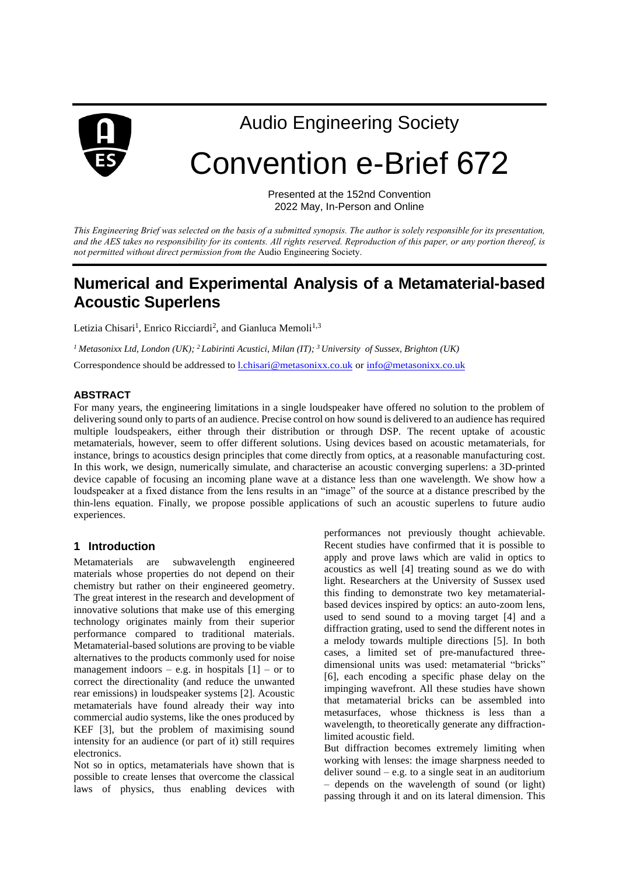

Audio Engineering Society

# Convention e-Brief 672

Presented at the 152nd Convention 2022 May, In-Person and Online

*This Engineering Brief was selected on the basis of a submitted synopsis. The author is solely responsible for its presentation, and the AES takes no responsibility for its contents. All rights reserved. Reproduction of this paper, or any portion thereof, is not permitted without direct permission from the* Audio Engineering Society.

# **Numerical and Experimental Analysis of a Metamaterial-based Acoustic Superlens**

Letizia Chisari<sup>1</sup>, Enrico Ricciardi<sup>2</sup>, and Gianluca Memoli<sup>1,3</sup>

*<sup>1</sup> Metasonixx Ltd, London (UK); <sup>2</sup>Labirinti Acustici, Milan (IT); <sup>3</sup>University of Sussex, Brighton (UK)*  Correspondence should be addressed to l.chisar[i@metasonixx.co.uk](mailto:l.chisari@metasonixx.co.uk) or info@[metasonixx.co.uk](mailto:info@metasonixx.co.uk)

### **ABSTRACT**

For many years, the engineering limitations in a single loudspeaker have offered no solution to the problem of delivering sound only to parts of an audience. Precise control on how sound is delivered to an audience has required multiple loudspeakers, either through their distribution or through DSP. The recent uptake of acoustic metamaterials, however, seem to offer different solutions. Using devices based on acoustic metamaterials, for instance, brings to acoustics design principles that come directly from optics, at a reasonable manufacturing cost. In this work, we design, numerically simulate, and characterise an acoustic converging superlens: a 3D-printed device capable of focusing an incoming plane wave at a distance less than one wavelength. We show how a loudspeaker at a fixed distance from the lens results in an "image" of the source at a distance prescribed by the thin-lens equation. Finally, we propose possible applications of such an acoustic superlens to future audio experiences.

#### **1 Introduction**

Metamaterials are subwavelength engineered materials whose properties do not depend on their chemistry but rather on their engineered geometry. The great interest in the research and development of innovative solutions that make use of this emerging technology originates mainly from their superior performance compared to traditional materials. Metamaterial-based solutions are proving to be viable alternatives to the products commonly used for noise management indoors – e.g. in hospitals  $[1]$  – or to correct the directionality (and reduce the unwanted rear emissions) in loudspeaker systems [2]. Acoustic metamaterials have found already their way into commercial audio systems, like the ones produced by KEF [3], but the problem of maximising sound intensity for an audience (or part of it) still requires electronics.

Not so in optics, metamaterials have shown that is possible to create lenses that overcome the classical laws of physics, thus enabling devices with performances not previously thought achievable. Recent studies have confirmed that it is possible to apply and prove laws which are valid in optics to acoustics as well [4] treating sound as we do with light. Researchers at the University of Sussex used this finding to demonstrate two key metamaterialbased devices inspired by optics: an auto-zoom lens, used to send sound to a moving target [4] and a diffraction grating, used to send the different notes in a melody towards multiple directions [5]. In both cases, a limited set of pre-manufactured threedimensional units was used: metamaterial "bricks" [6], each encoding a specific phase delay on the impinging wavefront. All these studies have shown that metamaterial bricks can be assembled into metasurfaces, whose thickness is less than a wavelength, to theoretically generate any diffractionlimited acoustic field.

But diffraction becomes extremely limiting when working with lenses: the image sharpness needed to deliver sound  $-$  e.g. to a single seat in an auditorium – depends on the wavelength of sound (or light) passing through it and on its lateral dimension. This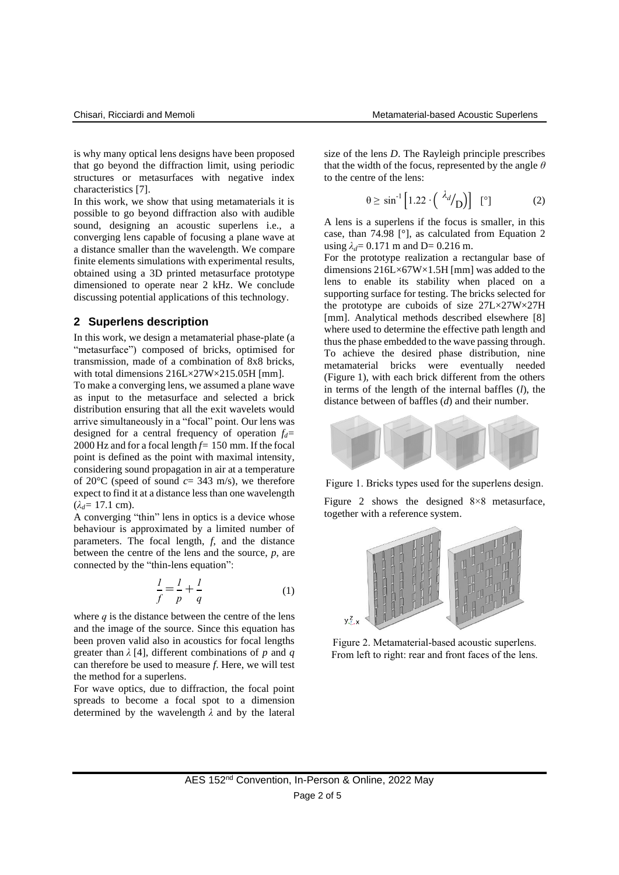is why many optical lens designs have been proposed that go beyond the diffraction limit, using periodic structures or metasurfaces with negative index characteristics [7].

In this work, we show that using metamaterials it is possible to go beyond diffraction also with audible sound, designing an acoustic superlens i.e., a converging lens capable of focusing a plane wave at a distance smaller than the wavelength. We compare finite elements simulations with experimental results, obtained using a 3D printed metasurface prototype dimensioned to operate near 2 kHz. We conclude discussing potential applications of this technology.

#### **2 Superlens description**

In this work, we design a metamaterial phase-plate (a "metasurface") composed of bricks, optimised for transmission, made of a combination of 8x8 bricks, with total dimensions  $216L \times 27W \times 215.05H$  [mm].

To make a converging lens, we assumed a plane wave as input to the metasurface and selected a brick distribution ensuring that all the exit wavelets would arrive simultaneously in a "focal" point. Our lens was designed for a central frequency of operation *fd=* 2000 Hz and for a focal length *f=* 150 mm. If the focal point is defined as the point with maximal intensity, considering sound propagation in air at a temperature of 20 $\degree$ C (speed of sound  $c=343$  m/s), we therefore expect to find it at a distance less than one wavelength  $(\lambda_d = 17.1 \text{ cm})$ .

A converging "thin" lens in optics is a device whose behaviour is approximated by a limited number of parameters. The focal length, *f*, and the distance between the centre of the lens and the source, *p*, are connected by the "thin-lens equation":

$$
\frac{l}{f} = \frac{l}{p} + \frac{l}{q} \tag{1}
$$

where  $q$  is the distance between the centre of the lens and the image of the source. Since this equation has been proven valid also in acoustics for focal lengths greater than *λ* [4], different combinations of *p* and *q* can therefore be used to measure *f*. Here, we will test the method for a superlens.

For wave optics, due to diffraction, the focal point spreads to become a focal spot to a dimension determined by the wavelength *λ* and by the lateral size of the lens *D*. The Rayleigh principle prescribes that the width of the focus, represented by the angle *θ* to the centre of the lens:

$$
\theta \ge \sin^{-1} \left[ 1.22 \cdot \left( \left. \frac{\lambda_d}{D} \right) \right] \right] \quad \text{[°]}
$$

A lens is a superlens if the focus is smaller, in this case, than 74.98 [°], as calculated from Equation 2 using  $\lambda_d = 0.171$  m and D= 0.216 m.

For the prototype realization a rectangular base of dimensions 216L×67W×1.5H [mm] was added to the lens to enable its stability when placed on a supporting surface for testing. The bricks selected for the prototype are cuboids of size 27L×27W×27H [mm]. Analytical methods described elsewhere [8] where used to determine the effective path length and thus the phase embedded to the wave passing through. To achieve the desired phase distribution, nine metamaterial bricks were eventually needed (Figure 1), with each brick different from the others in terms of the length of the internal baffles (*l*), the distance between of baffles (*d*) and their number.



Figure 1. Bricks types used for the superlens design.

Figure 2 shows the designed 8×8 metasurface, together with a reference system.



Figure 2. Metamaterial-based acoustic superlens. From left to right: rear and front faces of the lens.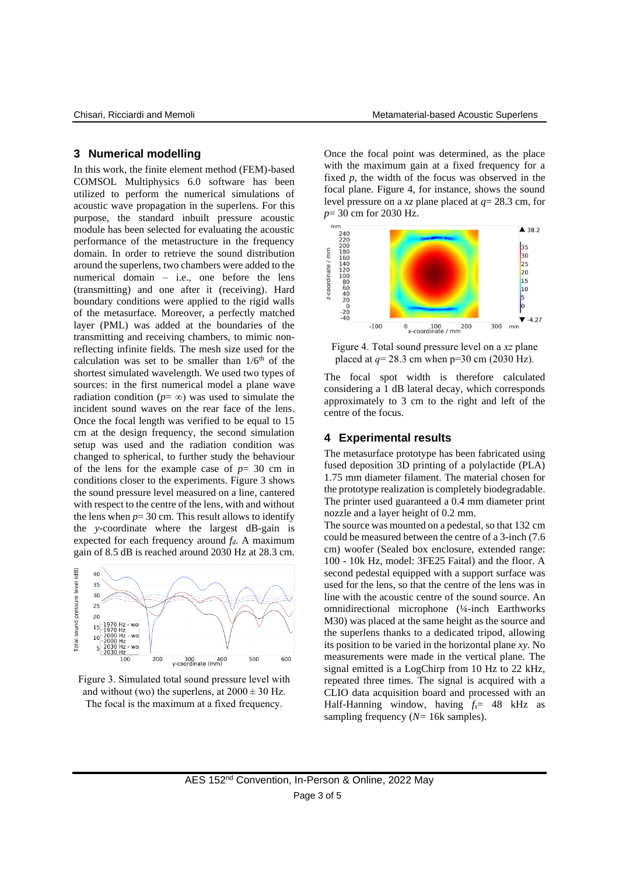# **3 Numerical modelling**

In this work, the finite element method (FEM)-based COMSOL Multiphysics 6.0 software has been utilized to perform the numerical simulations of acoustic wave propagation in the superlens. For this purpose, the standard inbuilt pressure acoustic module has been selected for evaluating the acoustic performance of the metastructure in the frequency domain. In order to retrieve the sound distribution around the superlens, two chambers were added to the numerical domain – i.e., one before the lens (transmitting) and one after it (receiving). Hard boundary conditions were applied to the rigid walls of the metasurface. Moreover, a perfectly matched layer (PML) was added at the boundaries of the transmitting and receiving chambers, to mimic nonreflecting infinite fields. The mesh size used for the calculation was set to be smaller than  $1/6<sup>th</sup>$  of the shortest simulated wavelength. We used two types of sources: in the first numerical model a plane wave radiation condition ( $p = \infty$ ) was used to simulate the incident sound waves on the rear face of the lens. Once the focal length was verified to be equal to 15 cm at the design frequency, the second simulation setup was used and the radiation condition was changed to spherical, to further study the behaviour of the lens for the example case of  $p = 30$  cm in conditions closer to the experiments. Figure 3 shows the sound pressure level measured on a line, cantered with respect to the centre of the lens, with and without the lens when  $p = 30$  cm. This result allows to identify the *y*-coordinate where the largest dB-gain is expected for each frequency around *fd*. A maximum gain of 8.5 dB is reached around 2030 Hz at 28.3 cm.



Figure 3. Simulated total sound pressure level with and without (wo) the superlens, at  $2000 \pm 30$  Hz. The focal is the maximum at a fixed frequency.

Once the focal point was determined, as the place with the maximum gain at a fixed frequency for a fixed *p*, the width of the focus was observed in the focal plane. Figure 4, for instance, shows the sound level pressure on a *xz* plane placed at *q*= 28.3 cm, for *p*= 30 cm for 2030 Hz.



Figure 4. Total sound pressure level on a *xz* plane placed at  $q = 28.3$  cm when  $p = 30$  cm (2030 Hz).

The focal spot width is therefore calculated considering a 1 dB lateral decay, which corresponds approximately to 3 cm to the right and left of the centre of the focus.

#### **4 Experimental results**

The metasurface prototype has been fabricated using fused deposition 3D printing of a polylactide (PLA) 1.75 mm diameter filament. The material chosen for the prototype realization is completely biodegradable. The printer used guaranteed a 0.4 mm diameter print nozzle and a layer height of 0.2 mm.

The source was mounted on a pedestal, so that 132 cm could be measured between the centre of a 3-inch (7.6 cm) woofer (Sealed box enclosure, extended range: 100 - 10k Hz, model: 3FE25 Faital) and the floor. A second pedestal equipped with a support surface was used for the lens, so that the centre of the lens was in line with the acoustic centre of the sound source. An omnidirectional microphone (¼-inch Earthworks M30) was placed at the same height as the source and the superlens thanks to a dedicated tripod, allowing its position to be varied in the horizontal plane *xy*. No measurements were made in the vertical plane. The signal emitted is a LogChirp from 10 Hz to 22 kHz, repeated three times. The signal is acquired with a CLIO data acquisition board and processed with an Half-Hanning window, having *fs*= 48 kHz as sampling frequency (*N=* 16k samples).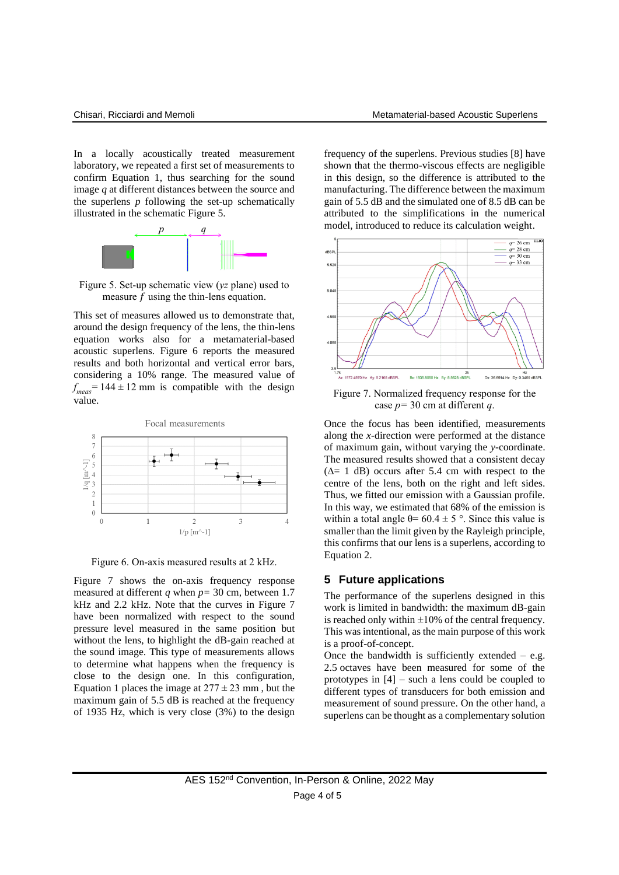In a locally acoustically treated measurement laboratory, we repeated a first set of measurements to confirm Equation 1, thus searching for the sound image *q* at different distances between the source and the superlens *p* following the set-up schematically illustrated in the schematic Figure 5.



Figure 5. Set-up schematic view (*yz* plane) used to measure  $f$  using the thin-lens equation.

This set of measures allowed us to demonstrate that, around the design frequency of the lens, the thin-lens equation works also for a metamaterial-based acoustic superlens. Figure 6 reports the measured results and both horizontal and vertical error bars, considering a 10% range. The measured value of  $f_{meas}$  = 144  $\pm$  12 mm is compatible with the design value.



Figure 6. On-axis measured results at 2 kHz.

Figure 7 shows the on-axis frequency response measured at different *q* when *p=* 30 cm, between 1.7 kHz and 2.2 kHz. Note that the curves in Figure 7 have been normalized with respect to the sound pressure level measured in the same position but without the lens, to highlight the dB-gain reached at the sound image. This type of measurements allows to determine what happens when the frequency is close to the design one. In this configuration, Equation 1 places the image at  $277 \pm 23$  mm, but the maximum gain of 5.5 dB is reached at the frequency of 1935 Hz, which is very close (3%) to the design

frequency of the superlens. Previous studies [8] have shown that the thermo-viscous effects are negligible in this design, so the difference is attributed to the manufacturing. The difference between the maximum gain of 5.5 dB and the simulated one of 8.5 dB can be attributed to the simplifications in the numerical model, introduced to reduce its calculation weight.



Figure 7. Normalized frequency response for the case *p=* 30 cm at different *q*.

Once the focus has been identified, measurements along the *x*-direction were performed at the distance of maximum gain, without varying the *y*-coordinate. The measured results showed that a consistent decay  $(∆= 1 dB)$  occurs after 5.4 cm with respect to the centre of the lens, both on the right and left sides. Thus, we fitted our emission with a Gaussian profile. In this way, we estimated that 68% of the emission is within a total angle  $\theta$ = 60.4  $\pm$  5 °. Since this value is smaller than the limit given by the Rayleigh principle, this confirms that our lens is a superlens, according to Equation 2.

#### **5 Future applications**

The performance of the superlens designed in this work is limited in bandwidth: the maximum dB-gain is reached only within  $\pm 10\%$  of the central frequency. This was intentional, as the main purpose of this work is a proof-of-concept.

Once the bandwidth is sufficiently extended  $-$  e.g. 2.5 octaves have been measured for some of the prototypes in [4] – such a lens could be coupled to different types of transducers for both emission and measurement of sound pressure. On the other hand, a superlens can be thought as a complementary solution